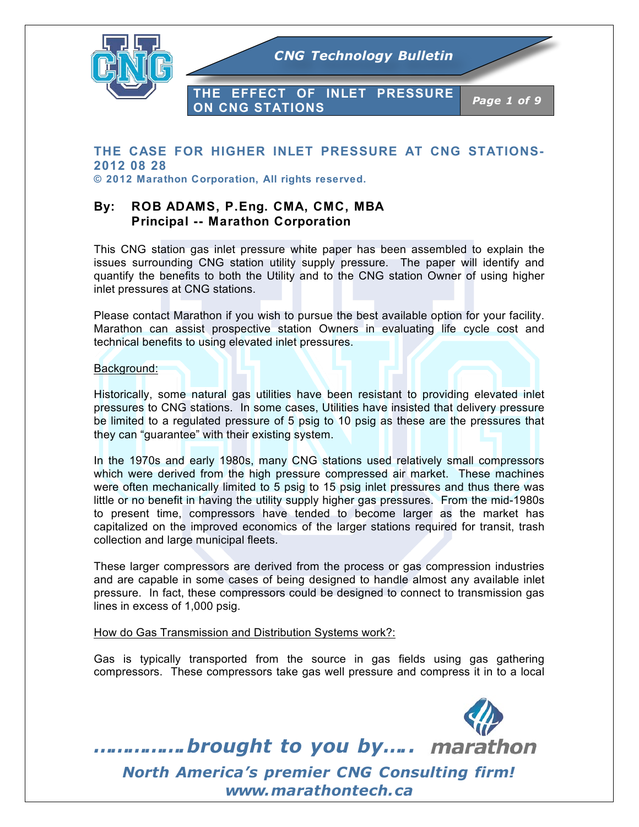

# **THE CASE FOR HIGHER INLET PRESSURE AT CNG STATIONS-2012 08 28**

**© 2012 Marathon Corporation, All rights reserved.**

## **By: ROB ADAMS, P.Eng. CMA, CMC, MBA Principal -- Marathon Corporation**

This CNG station gas inlet pressure white paper has been assembled to explain the issues surrounding CNG station utility supply pressure. The paper will identify and quantify the benefits to both the Utility and to the CNG station Owner of using higher inlet pressures at CNG stations.

Please contact Marathon if you wish to pursue the best available option for your facility. Marathon can assist prospective station Owners in evaluating life cycle cost and technical benefits to using elevated inlet pressures.

#### Background:

Historically, some natural gas utilities have been resistant to providing elevated inlet pressures to CNG stations. In some cases, Utilities have insisted that delivery pressure be limited to a regulated pressure of 5 psig to 10 psig as these are the pressures that they can "guarantee" with their existing system.

In the 1970s and early 1980s, many CNG stations used relatively small compressors which were derived from the high pressure compressed air market. These machines were often mechanically limited to 5 psig to 15 psig inlet pressures and thus there was little or no benefit in having the utility supply higher gas pressures. From the mid-1980s to present time, compressors have tended to become larger as the market has capitalized on the improved economics of the larger stations required for transit, trash collection and large municipal fleets.

These larger compressors are derived from the process or gas compression industries and are capable in some cases of being designed to handle almost any available inlet pressure. In fact, these compressors could be designed to connect to transmission gas lines in excess of 1,000 psig.

#### How do Gas Transmission and Distribution Systems work?:

Gas is typically transported from the source in gas fields using gas gathering compressors. These compressors take gas well pressure and compress it in to a local

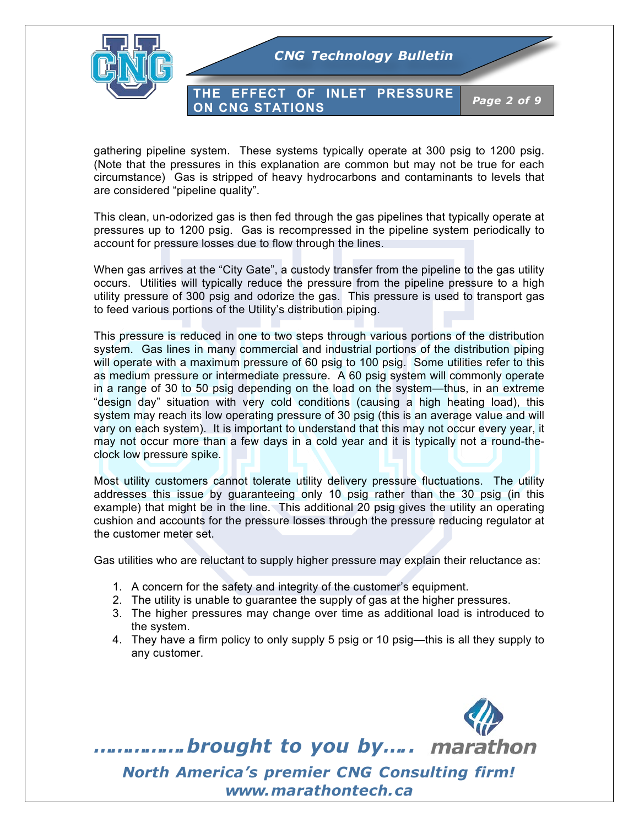

**THE EFFECT OF INLET PRESSURE ON CNG STATIONS** *Page 2 of 9*

gathering pipeline system. These systems typically operate at 300 psig to 1200 psig. (Note that the pressures in this explanation are common but may not be true for each circumstance) Gas is stripped of heavy hydrocarbons and contaminants to levels that are considered "pipeline quality".

This clean, un-odorized gas is then fed through the gas pipelines that typically operate at pressures up to 1200 psig. Gas is recompressed in the pipeline system periodically to account for pressure losses due to flow through the lines.

When gas arrives at the "City Gate", a custody transfer from the pipeline to the gas utility occurs. Utilities will typically reduce the pressure from the pipeline pressure to a high utility pressure of 300 psig and odorize the gas. This pressure is used to transport gas to feed various portions of the Utility's distribution piping.

This pressure is reduced in one to two steps through various portions of the distribution system. Gas lines in many commercial and industrial portions of the distribution piping will operate with a maximum pressure of 60 psig to 100 psig. Some utilities refer to this as medium pressure or intermediate pressure. A 60 psig system will commonly operate in a range of 30 to 50 psig depending on the load on the system—thus, in an extreme "design day" situation with very cold conditions (causing a high heating load), this system may reach its low operating pressure of 30 psig (this is an average value and will vary on each system). It is important to understand that this may not occur every year, it may not occur more than a few days in a cold year and it is typically not a round-theclock low pressure spike.

Most utility customers cannot tolerate utility delivery pressure fluctuations. The utility addresses this issue by guaranteeing only 10 psig rather than the 30 psig (in this example) that might be in the line. This additional 20 psig gives the utility an operating cushion and accounts for the pressure losses through the pressure reducing regulator at the customer meter set.

Gas utilities who are reluctant to supply higher pressure may explain their reluctance as:

- 1. A concern for the safety and integrity of the customer's equipment.
- 2. The utility is unable to guarantee the supply of gas at the higher pressures.
- 3. The higher pressures may change over time as additional load is introduced to the system.
- 4. They have a firm policy to only supply 5 psig or 10 psig—this is all they supply to any customer.

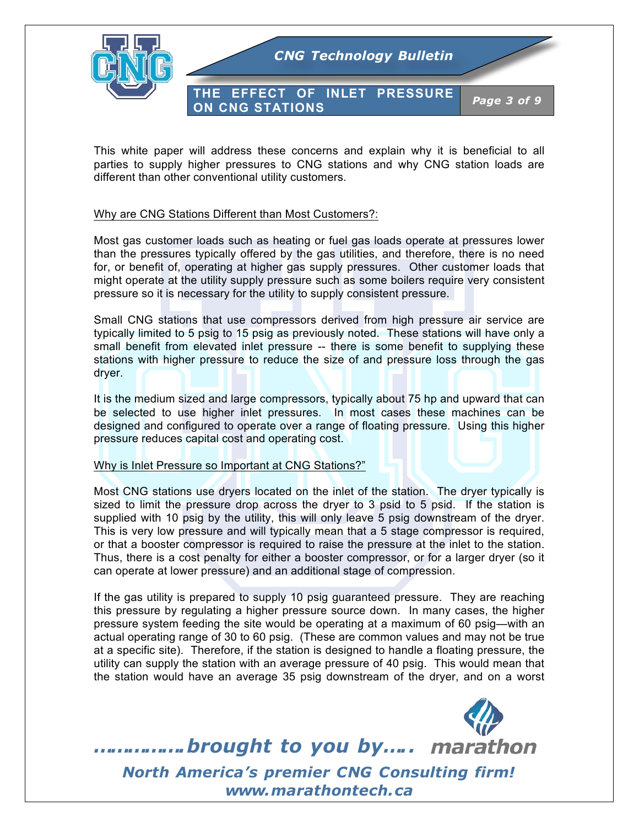

This white paper will address these concerns and explain why it is beneficial to all parties to supply higher pressures to CNG stations and why CNG station loads are different than other conventional utility customers.

### Why are CNG Stations Different than Most Customers?:

Most gas customer loads such as heating or fuel gas loads operate at pressures lower than the pressures typically offered by the gas utilities, and therefore, there is no need for, or benefit of, operating at higher gas supply pressures. Other customer loads that might operate at the utility supply pressure such as some boilers require very consistent pressure so it is necessary for the utility to supply consistent pressure.

Small CNG stations that use compressors derived from high pressure air service are typically limited to 5 psig to 15 psig as previously noted. These stations will have only a small benefit from elevated inlet pressure -- there is some benefit to supplying these stations with higher pressure to reduce the size of and pressure loss through the gas dryer.

It is the medium sized and large compressors, typically about 75 hp and upward that can be selected to use higher inlet pressures. In most cases these machines can be designed and configured to operate over a range of floating pressure. Using this higher pressure reduces capital cost and operating cost.

#### Why is Inlet Pressure so Important at CNG Stations?"

Most CNG stations use dryers located on the inlet of the station. The dryer typically is sized to limit the pressure drop across the dryer to 3 psid to 5 psid. If the station is supplied with 10 psig by the utility, this will only leave 5 psig downstream of the dryer. This is very low pressure and will typically mean that a 5 stage compressor is required, or that a booster compressor is required to raise the pressure at the inlet to the station. Thus, there is a cost penalty for either a booster compressor, or for a larger dryer (so it can operate at lower pressure) and an additional stage of compression.

If the gas utility is prepared to supply 10 psig guaranteed pressure. They are reaching this pressure by regulating a higher pressure source down. In many cases, the higher pressure system feeding the site would be operating at a maximum of 60 psig—with an actual operating range of 30 to 60 psig. (These are common values and may not be true at a specific site). Therefore, if the station is designed to handle a floating pressure, the utility can supply the station with an average pressure of 40 psig. This would mean that the station would have an average 35 psig downstream of the dryer, and on a worst

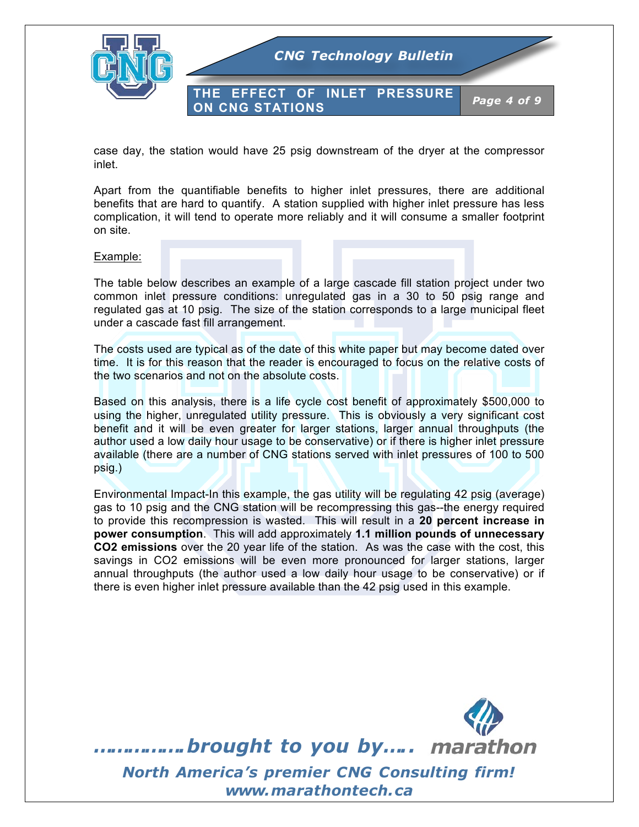

case day, the station would have 25 psig downstream of the dryer at the compressor inlet.

Apart from the quantifiable benefits to higher inlet pressures, there are additional benefits that are hard to quantify. A station supplied with higher inlet pressure has less complication, it will tend to operate more reliably and it will consume a smaller footprint on site.

#### Example:

The table below describes an example of a large cascade fill station project under two common inlet pressure conditions: unregulated gas in a 30 to 50 psig range and regulated gas at 10 psig. The size of the station corresponds to a large municipal fleet under a cascade fast fill arrangement.

The costs used are typical as of the date of this white paper but may become dated over time. It is for this reason that the reader is encouraged to focus on the relative costs of the two scenarios and not on the absolute costs.

Based on this analysis, there is a life cycle cost benefit of approximately \$500,000 to using the higher, unregulated utility pressure. This is obviously a very significant cost benefit and it will be even greater for larger stations, larger annual throughputs (the author used a low daily hour usage to be conservative) or if there is higher inlet pressure available (there are a number of CNG stations served with inlet pressures of 100 to 500 psig.)

Environmental Impact-In this example, the gas utility will be regulating 42 psig (average) gas to 10 psig and the CNG station will be recompressing this gas--the energy required to provide this recompression is wasted. This will result in a **20 percent increase in power consumption**. This will add approximately **1.1 million pounds of unnecessary CO2 emissions** over the 20 year life of the station. As was the case with the cost, this savings in CO2 emissions will be even more pronounced for larger stations, larger annual throughputs (the author used a low daily hour usage to be conservative) or if there is even higher inlet pressure available than the 42 psig used in this example.

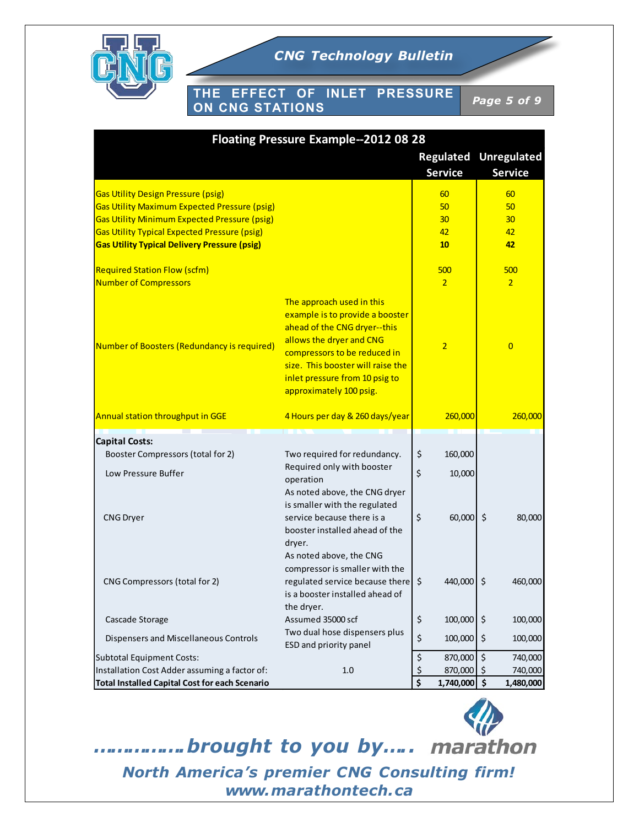

**THE EFFECT OF INLET PRESSURE ON CNG STATIONS** *Page 5 of 9*

| <b>Floating Pressure Example--2012 08 28</b>                                                                                                                                                                                                                          |                                                                                                                                                                                                                                                            |                                                |                                         |  |
|-----------------------------------------------------------------------------------------------------------------------------------------------------------------------------------------------------------------------------------------------------------------------|------------------------------------------------------------------------------------------------------------------------------------------------------------------------------------------------------------------------------------------------------------|------------------------------------------------|-----------------------------------------|--|
|                                                                                                                                                                                                                                                                       |                                                                                                                                                                                                                                                            | <b>Regulated</b><br><b>Service</b>             | <b>Unregulated</b><br><b>Service</b>    |  |
| <b>Gas Utility Design Pressure (psig)</b><br><b>Gas Utility Maximum Expected Pressure (psig)</b><br><b>Gas Utility Minimum Expected Pressure (psig)</b><br><b>Gas Utility Typical Expected Pressure (psig)</b><br><b>Gas Utility Typical Delivery Pressure (psig)</b> |                                                                                                                                                                                                                                                            | 60<br>50<br>30<br>42<br>10                     | 60<br>50<br>30 <sub>2</sub><br>42<br>42 |  |
| <b>Required Station Flow (scfm)</b><br><b>Number of Compressors</b>                                                                                                                                                                                                   |                                                                                                                                                                                                                                                            | 500<br>$\overline{2}$                          | 500<br>$\overline{2}$                   |  |
| Number of Boosters (Redundancy is required)                                                                                                                                                                                                                           | The approach used in this<br>example is to provide a booster<br>ahead of the CNG dryer--this<br>allows the dryer and CNG<br>compressors to be reduced in<br>size. This booster will raise the<br>inlet pressure from 10 psig to<br>approximately 100 psig. | $\overline{2}$                                 | $\overline{0}$                          |  |
| Annual station throughput in GGE                                                                                                                                                                                                                                      | 4 Hours per day & 260 days/year                                                                                                                                                                                                                            | 260,000                                        | 260,000                                 |  |
| <b>Capital Costs:</b><br>Booster Compressors (total for 2)<br>Low Pressure Buffer                                                                                                                                                                                     | Two required for redundancy.<br>Required only with booster<br>operation                                                                                                                                                                                    | \$<br>160,000<br>\$<br>10,000                  |                                         |  |
| <b>CNG Dryer</b>                                                                                                                                                                                                                                                      | As noted above, the CNG dryer<br>is smaller with the regulated<br>service because there is a<br>booster installed ahead of the<br>dryer.                                                                                                                   | \$<br>60,000                                   | $\zeta$<br>80,000                       |  |
| CNG Compressors (total for 2)                                                                                                                                                                                                                                         | As noted above, the CNG<br>compressor is smaller with the<br>regulated service because there \$<br>is a booster installed ahead of<br>the dryer.                                                                                                           | 440,000                                        | \$<br>460,000                           |  |
| Cascade Storage                                                                                                                                                                                                                                                       | Assumed 35000 scf                                                                                                                                                                                                                                          | \$<br>100,000                                  | $\zeta$<br>100,000                      |  |
| Dispensers and Miscellaneous Controls                                                                                                                                                                                                                                 | Two dual hose dispensers plus<br>ESD and priority panel                                                                                                                                                                                                    | \$<br>100,000                                  | $\zeta$<br>100,000                      |  |
| Subtotal Equipment Costs:                                                                                                                                                                                                                                             |                                                                                                                                                                                                                                                            | \$<br>870,000                                  | $\zeta$<br>740,000                      |  |
| Installation Cost Adder assuming a factor of:<br>Total Installed Capital Cost for each Scenario                                                                                                                                                                       | 1.0                                                                                                                                                                                                                                                        | $\frac{1}{2}$<br>870,000<br>\$<br>1,740,000 \$ | 740,000<br>-\$<br>1,480,000             |  |

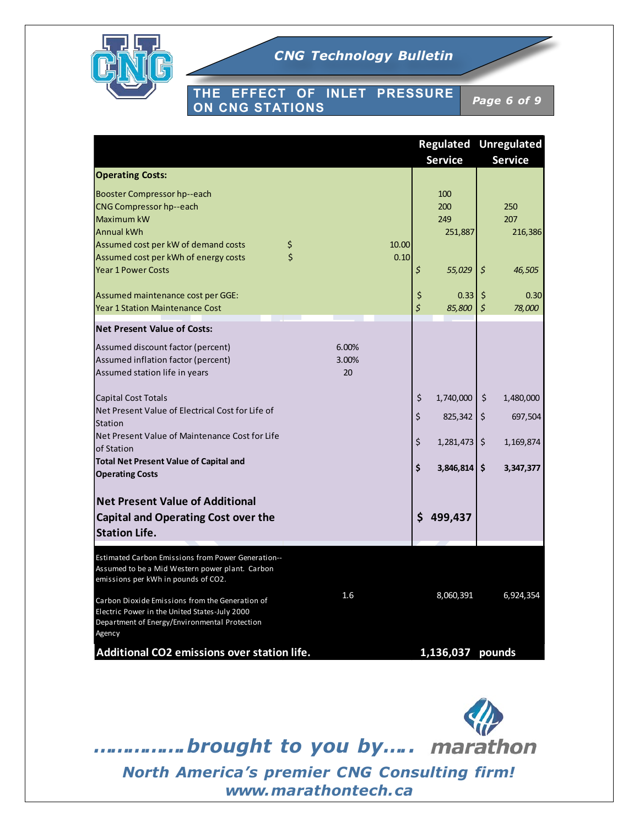

### **THE EFFECT OF INLET PRESSURE ON CNG STATIONS** *Page 6 of 9*

|                                                                                                                                                             |             |                                   | <b>Regulated Unregulated</b> |
|-------------------------------------------------------------------------------------------------------------------------------------------------------------|-------------|-----------------------------------|------------------------------|
|                                                                                                                                                             |             | <b>Service</b>                    | <b>Service</b>               |
| <b>Operating Costs:</b>                                                                                                                                     |             |                                   |                              |
| <b>Booster Compressor hp--each</b>                                                                                                                          |             | 100                               |                              |
| CNG Compressor hp--each                                                                                                                                     |             | 200                               | 250                          |
| Maximum kW                                                                                                                                                  |             | 249                               | 207                          |
| <b>Annual kWh</b>                                                                                                                                           |             | 251,887                           | 216,386                      |
| Assumed cost per kW of demand costs                                                                                                                         | 10.00<br>\$ |                                   |                              |
| Assumed cost per kWh of energy costs                                                                                                                        | Ś<br>0.10   |                                   |                              |
| <b>Year 1 Power Costs</b>                                                                                                                                   |             | \$<br>55,029                      | \$<br>46,505                 |
| Assumed maintenance cost per GGE:                                                                                                                           |             | \$<br>0.33                        | 0.30<br>\$                   |
| <b>Year 1 Station Maintenance Cost</b>                                                                                                                      |             | $\overline{\mathsf{S}}$<br>85,800 | $\zeta$<br>78,000            |
| <b>Net Present Value of Costs:</b>                                                                                                                          |             |                                   |                              |
| Assumed discount factor (percent)                                                                                                                           | 6.00%       |                                   |                              |
| Assumed inflation factor (percent)                                                                                                                          | 3.00%       |                                   |                              |
| Assumed station life in years                                                                                                                               | 20          |                                   |                              |
|                                                                                                                                                             |             |                                   |                              |
| <b>Capital Cost Totals</b>                                                                                                                                  |             | \$<br>1,740,000                   | \$<br>1,480,000              |
| Net Present Value of Electrical Cost for Life of                                                                                                            |             | \$<br>825,342                     | \$<br>697,504                |
| Station                                                                                                                                                     |             |                                   |                              |
| Net Present Value of Maintenance Cost for Life<br>of Station                                                                                                |             | \$<br>1,281,473                   | \$<br>1,169,874              |
| <b>Total Net Present Value of Capital and</b>                                                                                                               |             |                                   |                              |
| <b>Operating Costs</b>                                                                                                                                      |             | \$<br>3,846,814                   | \$<br>3,347,377              |
|                                                                                                                                                             |             |                                   |                              |
| <b>Net Present Value of Additional</b>                                                                                                                      |             |                                   |                              |
| <b>Capital and Operating Cost over the</b>                                                                                                                  |             | \$<br>499,437                     |                              |
| <b>Station Life.</b>                                                                                                                                        |             |                                   |                              |
|                                                                                                                                                             |             |                                   |                              |
| Estimated Carbon Emissions from Power Generation--<br>Assumed to be a Mid Western power plant. Carbon<br>emissions per kWh in pounds of CO2.                |             |                                   |                              |
| Carbon Dioxide Emissions from the Generation of<br>Electric Power in the United States-July 2000<br>Department of Energy/Environmental Protection<br>Agency | 1.6         | 8,060,391                         | 6,924,354                    |
| Additional CO2 emissions over station life.                                                                                                                 |             | 1,136,037 pounds                  |                              |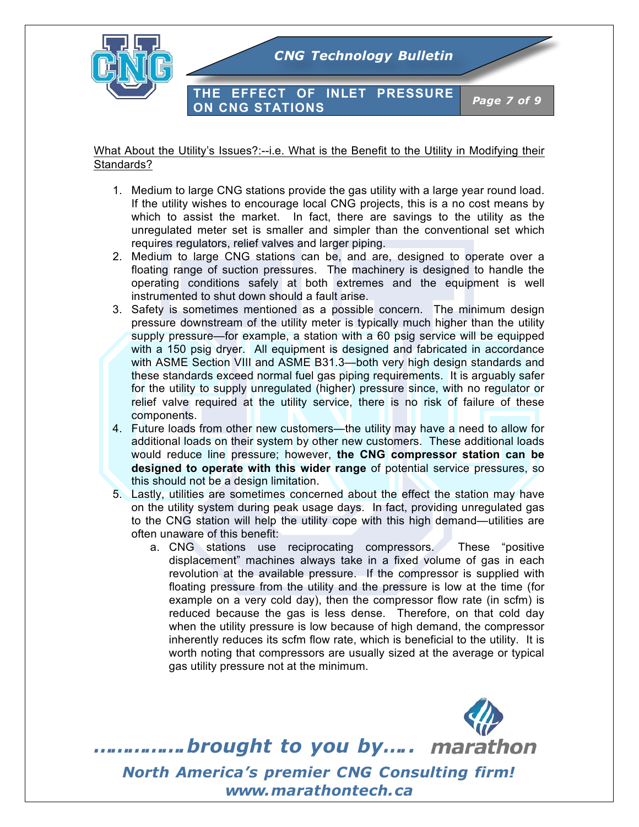

### What About the Utility's Issues?:--i.e. What is the Benefit to the Utility in Modifying their Standards?

- 1. Medium to large CNG stations provide the gas utility with a large year round load. If the utility wishes to encourage local CNG projects, this is a no cost means by which to assist the market. In fact, there are savings to the utility as the unregulated meter set is smaller and simpler than the conventional set which requires regulators, relief valves and larger piping.
- 2. Medium to large CNG stations can be, and are, designed to operate over a floating range of suction pressures. The machinery is designed to handle the operating conditions safely at both extremes and the equipment is well instrumented to shut down should a fault arise.
- 3. Safety is sometimes mentioned as a possible concern. The minimum design pressure downstream of the utility meter is typically much higher than the utility supply pressure—for example, a station with a 60 psig service will be equipped with a 150 psig dryer. All equipment is designed and fabricated in accordance with ASME Section VIII and ASME B31.3—both very high design standards and these standards exceed normal fuel gas piping requirements. It is arguably safer for the utility to supply unregulated (higher) pressure since, with no regulator or relief valve required at the utility service, there is no risk of failure of these components.
- 4. Future loads from other new customers—the utility may have a need to allow for additional loads on their system by other new customers. These additional loads would reduce line pressure; however, **the CNG compressor station can be designed to operate with this wider range** of potential service pressures, so this should not be a design limitation.
- 5. Lastly, utilities are sometimes concerned about the effect the station may have on the utility system during peak usage days. In fact, providing unregulated gas to the CNG station will help the utility cope with this high demand—utilities are often unaware of this benefit:
	- a. CNG stations use reciprocating compressors. These "positive displacement" machines always take in a fixed volume of gas in each revolution at the available pressure. If the compressor is supplied with floating pressure from the utility and the pressure is low at the time (for example on a very cold day), then the compressor flow rate (in scfm) is reduced because the gas is less dense. Therefore, on that cold day when the utility pressure is low because of high demand, the compressor inherently reduces its scfm flow rate, which is beneficial to the utility. It is worth noting that compressors are usually sized at the average or typical gas utility pressure not at the minimum.

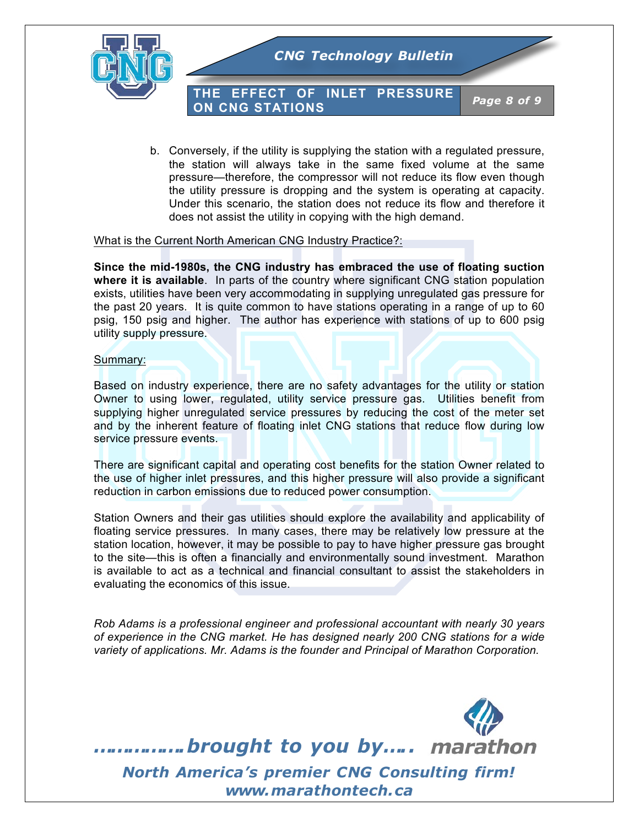

**THE EFFECT OF INLET PRESSURE ON CNG STATIONS** *Page 8 of 9*

b. Conversely, if the utility is supplying the station with a regulated pressure, the station will always take in the same fixed volume at the same pressure—therefore, the compressor will not reduce its flow even though the utility pressure is dropping and the system is operating at capacity. Under this scenario, the station does not reduce its flow and therefore it does not assist the utility in copying with the high demand.

#### What is the Current North American CNG Industry Practice?:

**Since the mid-1980s, the CNG industry has embraced the use of floating suction where it is available**. In parts of the country where significant CNG station population exists, utilities have been very accommodating in supplying unregulated gas pressure for the past 20 years. It is quite common to have stations operating in a range of up to 60 psig, 150 psig and higher. The author has experience with stations of up to 600 psig utility supply pressure.

#### Summary:

Based on industry experience, there are no safety advantages for the utility or station Owner to using lower, regulated, utility service pressure gas. Utilities benefit from supplying higher unregulated service pressures by reducing the cost of the meter set and by the inherent feature of floating inlet CNG stations that reduce flow during low service pressure events.

There are significant capital and operating cost benefits for the station Owner related to the use of higher inlet pressures, and this higher pressure will also provide a significant reduction in carbon emissions due to reduced power consumption.

Station Owners and their gas utilities should explore the availability and applicability of floating service pressures. In many cases, there may be relatively low pressure at the station location, however, it may be possible to pay to have higher pressure gas brought to the site—this is often a financially and environmentally sound investment. Marathon is available to act as a technical and financial consultant to assist the stakeholders in evaluating the economics of this issue.

*Rob Adams is a professional engineer and professional accountant with nearly 30 years of experience in the CNG market. He has designed nearly 200 CNG stations for a wide variety of applications. Mr. Adams is the founder and Principal of Marathon Corporation.*